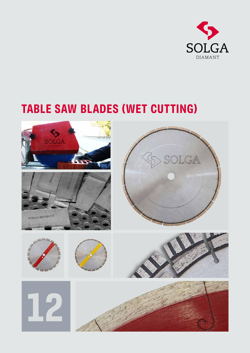

# TABLE SAW BLADES (WET CUTTING)

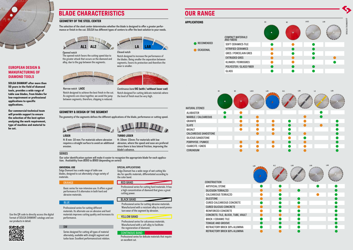# APPLICATIONS

# GEOMETRY & DESIGN OF THE SEGMENT

#### UNIVERSAL USE

The geometry of the segments defines the different applications of the blade, performance or cutting speed.



### LÁSER

H: 8 mm -10 mm: For materials where abrasion requires a straight surface to avoid an additional erosion.



Basic series for non-intensive use. It offers a good performance if it alternates in both hard and abrasive materials.

# **BLUE**

Professional series for calcareous materials. Manufactured with a soft alloy to facilitate the regeneration of diamond.

#### CONTINOUS BAND

alternately, available with straight segment and<br>turbo-laser. Excellent performance/cost relation.

**RECOMENDED** 

**OCASIONAL** 

Series designed for cutting all types of material alternately, available with straight segment and

**DIAMAN** LACC LAR  $BD$  $\mathbb{S}$  $\bullet$  $\bullet$ ●  $\bullet$  $\bullet$  $\bullet$ ◠  $\bullet$ 

Solga Diamant has a wide range of wet cutting bla des for specific materials, differentiated according to the color band.

Solga Diamant has a wide range of table saw blades, designed to cut alternately a huge variety of materials.

Professional series for cutting different materials. Its alternate use on abrasive and hard materials improves cutting quality and increases its performance.

Professional series for cutting hard materials. It has a high concentration of diamond that gives a great cutting power.

Professional series for cutting abrasive materials. Manufactured with a resistant alloy to avoid prema ture wear of the segment by abrasion.

Use the QR code to directly access the digital format of SOLGA DIAMANT catalogs and see

our products in detail.

回然派回

# BLADE CHARACTERISTICS OUR RANGE

# TURBO LÁSER

H: 10mm -15mm: For materials with low abrasion, where the speed and ease are prefered since there is less lateral friction, improving the blade's advance.

#### **SERIES**



# EUROPEAN DESIGN & MANUFACTURING OF DIAMOND TOOLS

SOLGA DIAMANT after more than 50 years in the field of diamond tools, provides a wide range of table saw blades, from blades for low-requirement or professional applications to specific applications.

Our commercial-technical team will provide support to ensure the selection of the best option analyzing the work requirement, type of machine and material to be cut.

#### ORANGE

# YELLOW BAND

#### SPECIAL APPLICATIONS

# BLACK BAND

#### RED BAND

# *COMPACT MATERIALS AND FIBERS* SOFT CERAMICS-TILE VITRIFIED CERAMICS GRES / PORCELAIN GRES EXTRUDED GRES KLINKER / FERROGRES POLYESTER / GLASS FIBER GLASS

 $BC$ 

*CONSTRUCTION*



| <b>ARTIFICIAL STONE</b>                   |                        |
|-------------------------------------------|------------------------|
| <b>SILICIUSN TERRAZZO</b>                 |                        |
| <b>CALCAREOUS TERRAZZO</b>                |                        |
| <b>SILESTONE</b>                          |                        |
| CURED CALCAREOUS CONCRETE                 | <b>Service Service</b> |
| <b>CURED SILICIUS CONCRETE</b>            |                        |
| <b>REINFORCED CONCRETE</b>                |                        |
| <b>CONCRETE: TILE, BLOCK, TUBE, VAULT</b> | <b>Service Service</b> |
| <b>BRICK / CERAMIC TILE</b>               | r.                     |
| <b>TONGUE AND GROOVE</b>                  | <b>Service Service</b> |
| REFRACTORY BRICK 30% ALUMINA              |                        |
| REFRACTORY BRICK 60% ALUMINA              |                        |





# SW

Our color identification system will make it easier to recognize the appropriate blade for each applica - tion. Availability from Ø300 to Ø900 (depending on series)

# GEOMETRY OF THE STEEL CENTER

The selection of the steel center determinates whether the blade is designed to offer a greater perfor mance or finish in the cut. SOLGA has different types of centers to offer the best solution to your needs.



|                             | <b>BC</b> | <b>BC</b>                                                                                                             | LACC |
|-----------------------------|-----------|-----------------------------------------------------------------------------------------------------------------------|------|
| <b>NATURAL STONES</b>       |           |                                                                                                                       |      |
| <b>ALABASTER</b>            |           |                                                                                                                       |      |
| <b>MARBLE / CALCAREOUS</b>  |           | <b>Contract Contract Contract Contract Contract Contract Contract Contract Contract Contract Contract Contract Co</b> |      |
| <b>GRANITE</b>              |           |                                                                                                                       |      |
| <b>SLATE</b>                |           |                                                                                                                       |      |
| <b>BASALT</b>               |           |                                                                                                                       |      |
| <b>CALCAREOUS SANDSTONE</b> |           |                                                                                                                       |      |
| SILICIUS SANDSTONE          |           |                                                                                                                       |      |
| PORPHYDE / PUMICE           |           |                                                                                                                       |      |
| <b>CUARCITE / GNEIS</b>     |           |                                                                                                                       |      |
| <b>CORUNDUM</b>             |           |                                                                                                                       |      |

*Opened notch* The opened notch favors the cutting speed due to the greater attack that occurs on the diamond and

alloy, due to the gap between the segments.



### *Narrow notch* LACC

Notch designed to achieve the best finish in the cut. As segments are close together, we avoid the jump between segments, therefore, chipping is reduced.

Notch designed to increase the performance of the blades. Being smaller the separation between segments, favors its protection and therefore the wear is smaller.





*Continuous band* BC (with / without laser cut) Notch designed for cutting delicate materials where the level of finish must be very high.